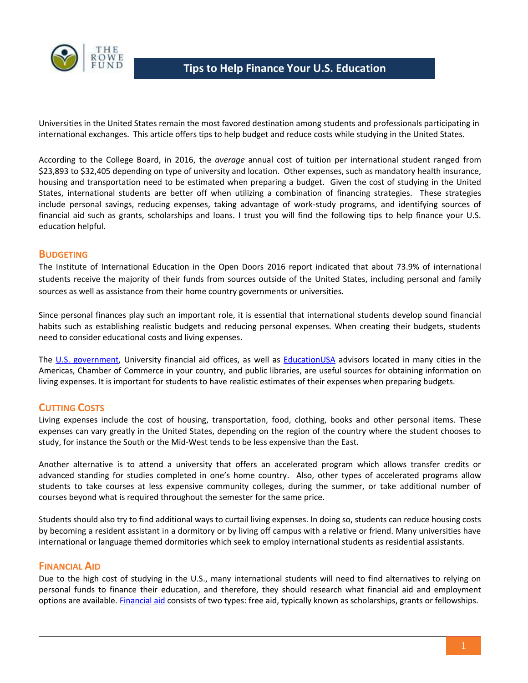

Universities in the United States remain the most favored destination among students and professionals participating in international exchanges. This article offers tips to help budget and reduce costs while studying in the United States.

According to the College Board, in 2016, the *average* annual cost of tuition per international student ranged from \$23,893 to \$32,405 depending on type of university and location. Other expenses, such as mandatory health insurance, housing and transportation need to be estimated when preparing a budget. Given the cost of studying in the United States, international students are better off when utilizing a combination of financing strategies. These strategies include personal savings, reducing expenses, taking advantage of work-study programs, and identifying sources of financial aid such as grants, scholarships and loans. I trust you will find the following tips to help finance your U.S. education helpful.

# **BUDGETING**

The Institute of International Education in the Open Doors 2016 report indicated that about 73.9% of international students receive the majority of their funds from sources outside of the United States, including personal and family sources as well as assistance from their home country governments or universities.

Since personal finances play such an important role, it is essential that international students develop sound financial habits such as establishing realistic budgets and reducing personal expenses. When creating their budgets, students need to consider educational costs and living expenses.

The U.S. [government,](http://studyinthestates.dhs.gov/) University financial aid offices, as well as [EducationUSA](https://educationusa.state.gov/find-advising-center) advisors located in many cities in the Americas, Chamber of Commerce in your country, and public libraries, are useful sources for obtaining information on living expenses. It is important for students to have realistic estimates of their expenses when preparing budgets.

# **CUTTING COSTS**

Living expenses include the cost of housing, transportation, food, clothing, books and other personal items. These expenses can vary greatly in the United States, depending on the region of the country where the student chooses to study, for instance the South or the Mid-West tends to be less expensive than the East.

Another alternative is to attend a university that offers an accelerated program which allows transfer credits or advanced standing for studies completed in one's home country. Also, other types of accelerated programs allow students to take courses at less expensive community colleges, during the summer, or take additional number of courses beyond what is required throughout the semester for the same price.

Students should also try to find additional ways to curtail living expenses. In doing so, students can reduce housing costs by becoming a resident assistant in a dormitory or by living off campus with a relative or friend. Many universities have international or language themed dormitories which seek to employ international students as residential assistants.

#### **FINANCIAL AID**

Due to the high cost of studying in the U.S., many international students will need to find alternatives to relying on personal funds to finance their education, and therefore, they should research what financial aid and employment options are available[. Financial aid](http://www.oas.org/en/rowefund/FinancialGuideForHigherEducation.pdf) consists of two types: free aid, typically known as scholarships, grants or fellowships.